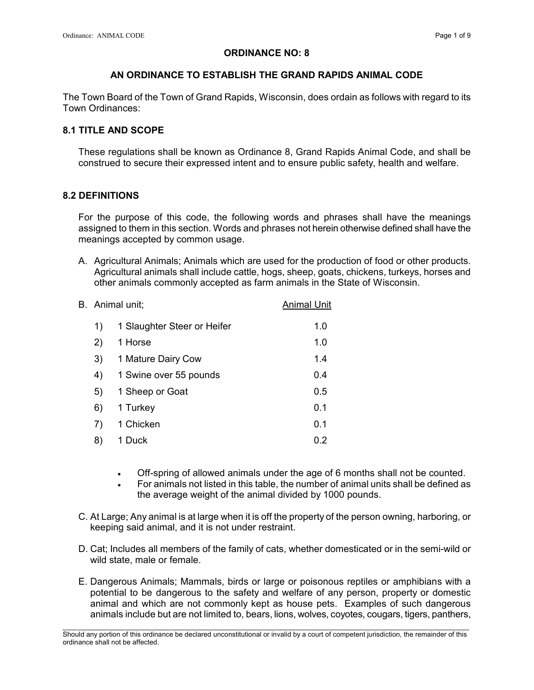## ORDINANCE NO: 8

## AN ORDINANCE TO ESTABLISH THE GRAND RAPIDS ANIMAL CODE

The Town Board of the Town of Grand Rapids, Wisconsin, does ordain as follows with regard to its Town Ordinances:

## 8.1 TITLE AND SCOPE

These regulations shall be known as Ordinance 8, Grand Rapids Animal Code, and shall be construed to secure their expressed intent and to ensure public safety, health and welfare.

### 8.2 DEFINITIONS

For the purpose of this code, the following words and phrases shall have the meanings assigned to them in this section. Words and phrases not herein otherwise defined shall have the meanings accepted by common usage.

A. Agricultural Animals; Animals which are used for the production of food or other products. Agricultural animals shall include cattle, hogs, sheep, goats, chickens, turkeys, horses and other animals commonly accepted as farm animals in the State of Wisconsin.

| B. Animal unit; |                             | <b>Animal Unit</b> |
|-----------------|-----------------------------|--------------------|
| 1)              | 1 Slaughter Steer or Heifer | 1.0                |
| 2)              | 1 Horse                     | 1.0                |
| 3)              | 1 Mature Dairy Cow          | 1.4                |
| 4)              | 1 Swine over 55 pounds      | 0.4                |
| 5)              | 1 Sheep or Goat             | 0.5                |
| 6)              | 1 Turkey                    | 0.1                |
| 7)              | 1 Chicken                   | 0.1                |
| 8)              | 1 Duck                      | 0.2                |

- Off-spring of allowed animals under the age of 6 months shall not be counted.
- For animals not listed in this table, the number of animal units shall be defined as the average weight of the animal divided by 1000 pounds.
- C. At Large; Any animal is at large when it is off the property of the person owning, harboring, or keeping said animal, and it is not under restraint.
- D. Cat; Includes all members of the family of cats, whether domesticated or in the semi-wild or wild state, male or female.
- E. Dangerous Animals; Mammals, birds or large or poisonous reptiles or amphibians with a potential to be dangerous to the safety and welfare of any person, property or domestic animal and which are not commonly kept as house pets. Examples of such dangerous animals include but are not limited to, bears, lions, wolves, coyotes, cougars, tigers, panthers,

\_\_\_\_\_\_\_\_\_\_\_\_\_\_\_\_\_\_\_\_\_\_\_\_\_\_\_\_\_\_\_\_\_\_\_\_\_\_\_\_\_\_\_\_\_\_\_\_\_\_\_\_\_\_\_\_\_\_\_\_\_\_\_\_\_\_\_\_\_\_\_\_\_\_\_\_\_\_\_\_\_\_\_\_\_\_\_\_\_\_\_\_\_\_\_\_\_\_\_\_\_\_\_\_\_ Should any portion of this ordinance be declared unconstitutional or invalid by a court of competent jurisdiction, the remainder of this ordinance shall not be affected.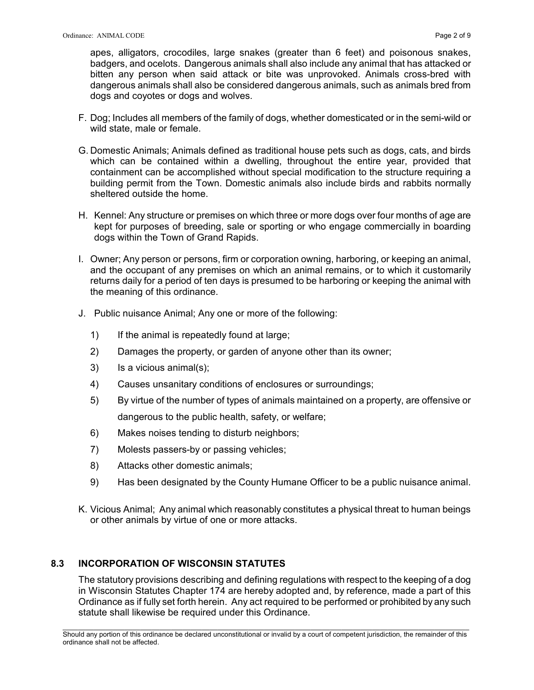apes, alligators, crocodiles, large snakes (greater than 6 feet) and poisonous snakes, badgers, and ocelots. Dangerous animals shall also include any animal that has attacked or bitten any person when said attack or bite was unprovoked. Animals cross-bred with dangerous animals shall also be considered dangerous animals, such as animals bred from dogs and coyotes or dogs and wolves.

- F. Dog; Includes all members of the family of dogs, whether domesticated or in the semi-wild or wild state, male or female.
- G. Domestic Animals; Animals defined as traditional house pets such as dogs, cats, and birds which can be contained within a dwelling, throughout the entire year, provided that containment can be accomplished without special modification to the structure requiring a building permit from the Town. Domestic animals also include birds and rabbits normally sheltered outside the home.
- H. Kennel: Any structure or premises on which three or more dogs over four months of age are kept for purposes of breeding, sale or sporting or who engage commercially in boarding dogs within the Town of Grand Rapids.
- I. Owner; Any person or persons, firm or corporation owning, harboring, or keeping an animal, and the occupant of any premises on which an animal remains, or to which it customarily returns daily for a period of ten days is presumed to be harboring or keeping the animal with the meaning of this ordinance.
- J. Public nuisance Animal; Any one or more of the following:
	- 1) If the animal is repeatedly found at large;
	- 2) Damages the property, or garden of anyone other than its owner;
	- 3) Is a vicious animal(s);
	- 4) Causes unsanitary conditions of enclosures or surroundings;
	- 5) By virtue of the number of types of animals maintained on a property, are offensive or dangerous to the public health, safety, or welfare;
	- 6) Makes noises tending to disturb neighbors;
	- 7) Molests passers-by or passing vehicles;
	- 8) Attacks other domestic animals;
	- 9) Has been designated by the County Humane Officer to be a public nuisance animal.
- K. Vicious Animal; Any animal which reasonably constitutes a physical threat to human beings or other animals by virtue of one or more attacks.

## 8.3 INCORPORATION OF WISCONSIN STATUTES

The statutory provisions describing and defining regulations with respect to the keeping of a dog in Wisconsin Statutes Chapter 174 are hereby adopted and, by reference, made a part of this Ordinance as if fully set forth herein. Any act required to be performed or prohibited by any such statute shall likewise be required under this Ordinance.

\_\_\_\_\_\_\_\_\_\_\_\_\_\_\_\_\_\_\_\_\_\_\_\_\_\_\_\_\_\_\_\_\_\_\_\_\_\_\_\_\_\_\_\_\_\_\_\_\_\_\_\_\_\_\_\_\_\_\_\_\_\_\_\_\_\_\_\_\_\_\_\_\_\_\_\_\_\_\_\_\_\_\_\_\_\_\_\_\_\_\_\_\_\_\_\_\_\_\_\_\_\_\_\_\_ Should any portion of this ordinance be declared unconstitutional or invalid by a court of competent jurisdiction, the remainder of this ordinance shall not be affected.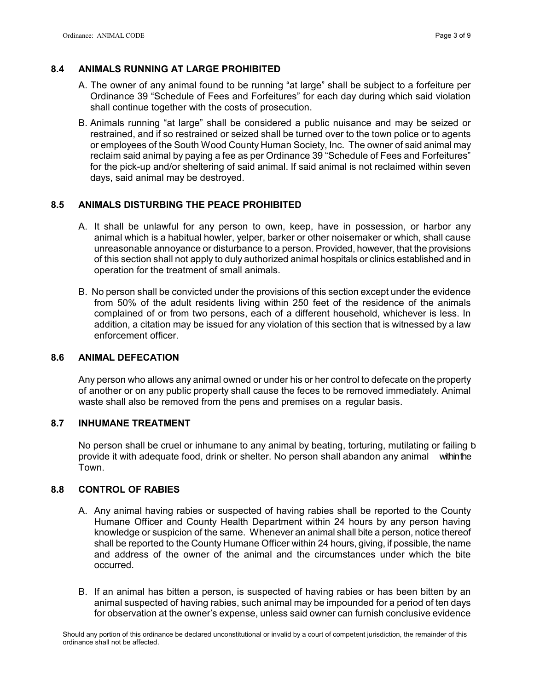# 8.4 ANIMALS RUNNING AT LARGE PROHIBITED

- A. The owner of any animal found to be running "at large" shall be subject to a forfeiture per Ordinance 39 "Schedule of Fees and Forfeitures" for each day during which said violation shall continue together with the costs of prosecution.
- B. Animals running "at large" shall be considered a public nuisance and may be seized or restrained, and if so restrained or seized shall be turned over to the town police or to agents or employees of the South Wood County Human Society, Inc. The owner of said animal may reclaim said animal by paying a fee as per Ordinance 39 "Schedule of Fees and Forfeitures" for the pick-up and/or sheltering of said animal. If said animal is not reclaimed within seven days, said animal may be destroyed.

# 8.5 ANIMALS DISTURBING THE PEACE PROHIBITED

- A. It shall be unlawful for any person to own, keep, have in possession, or harbor any animal which is a habitual howler, yelper, barker or other noisemaker or which, shall cause unreasonable annoyance or disturbance to a person. Provided, however, that the provisions of this section shall not apply to duly authorized animal hospitals or clinics established and in operation for the treatment of small animals.
- B. No person shall be convicted under the provisions of this section except under the evidence from 50% of the adult residents living within 250 feet of the residence of the animals complained of or from two persons, each of a different household, whichever is less. In addition, a citation may be issued for any violation of this section that is witnessed by a law enforcement officer.

## 8.6 ANIMAL DEFECATION

Any person who allows any animal owned or under his or her control to defecate on the property of another or on any public property shall cause the feces to be removed immediately. Animal waste shall also be removed from the pens and premises on a regular basis.

## 8.7 INHUMANE TREATMENT

No person shall be cruel or inhumane to any animal by beating, torturing, mutilating or failing b provide it with adequate food, drink or shelter. No person shall abandon any animal within the Town.

## 8.8 CONTROL OF RABIES

- A. Any animal having rabies or suspected of having rabies shall be reported to the County Humane Officer and County Health Department within 24 hours by any person having knowledge or suspicion of the same. Whenever an animal shall bite a person, notice thereof shall be reported to the County Humane Officer within 24 hours, giving, if possible, the name and address of the owner of the animal and the circumstances under which the bite occurred.
- B. If an animal has bitten a person, is suspected of having rabies or has been bitten by an animal suspected of having rabies, such animal may be impounded for a period of ten days for observation at the owner's expense, unless said owner can furnish conclusive evidence

\_\_\_\_\_\_\_\_\_\_\_\_\_\_\_\_\_\_\_\_\_\_\_\_\_\_\_\_\_\_\_\_\_\_\_\_\_\_\_\_\_\_\_\_\_\_\_\_\_\_\_\_\_\_\_\_\_\_\_\_\_\_\_\_\_\_\_\_\_\_\_\_\_\_\_\_\_\_\_\_\_\_\_\_\_\_\_\_\_\_\_\_\_\_\_\_\_\_\_\_\_\_\_\_\_ Should any portion of this ordinance be declared unconstitutional or invalid by a court of competent jurisdiction, the remainder of this ordinance shall not be affected.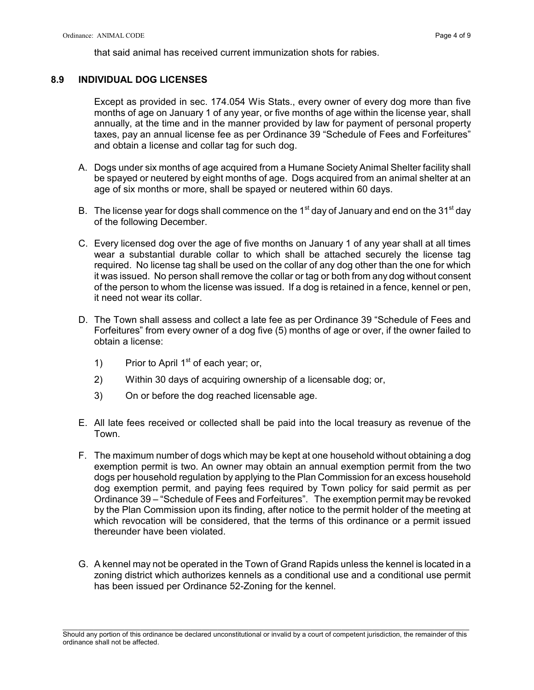that said animal has received current immunization shots for rabies.

### 8.9 INDIVIDUAL DOG LICENSES

Except as provided in sec. 174.054 Wis Stats., every owner of every dog more than five months of age on January 1 of any year, or five months of age within the license year, shall annually, at the time and in the manner provided by law for payment of personal property taxes, pay an annual license fee as per Ordinance 39 "Schedule of Fees and Forfeitures" and obtain a license and collar tag for such dog.

- A. Dogs under six months of age acquired from a Humane Society Animal Shelter facility shall be spayed or neutered by eight months of age. Dogs acquired from an animal shelter at an age of six months or more, shall be spayed or neutered within 60 days.
- B. The license year for dogs shall commence on the 1<sup>st</sup> day of January and end on the 31<sup>st</sup> day of the following December.
- C. Every licensed dog over the age of five months on January 1 of any year shall at all times wear a substantial durable collar to which shall be attached securely the license tag required. No license tag shall be used on the collar of any dog other than the one for which it was issued. No person shall remove the collar or tag or both from any dog without consent of the person to whom the license was issued. If a dog is retained in a fence, kennel or pen, it need not wear its collar.
- D. The Town shall assess and collect a late fee as per Ordinance 39 "Schedule of Fees and Forfeitures" from every owner of a dog five (5) months of age or over, if the owner failed to obtain a license:
	- 1) Prior to April  $1<sup>st</sup>$  of each year; or,
	- 2) Within 30 days of acquiring ownership of a licensable dog; or,
	- 3) On or before the dog reached licensable age.
- E. All late fees received or collected shall be paid into the local treasury as revenue of the Town.
- F. The maximum number of dogs which may be kept at one household without obtaining a dog exemption permit is two. An owner may obtain an annual exemption permit from the two dogs per household regulation by applying to the Plan Commission for an excess household dog exemption permit, and paying fees required by Town policy for said permit as per Ordinance 39 – "Schedule of Fees and Forfeitures". The exemption permit may be revoked by the Plan Commission upon its finding, after notice to the permit holder of the meeting at which revocation will be considered, that the terms of this ordinance or a permit issued thereunder have been violated.
- G. A kennel may not be operated in the Town of Grand Rapids unless the kennel is located in a zoning district which authorizes kennels as a conditional use and a conditional use permit has been issued per Ordinance 52-Zoning for the kennel.

\_\_\_\_\_\_\_\_\_\_\_\_\_\_\_\_\_\_\_\_\_\_\_\_\_\_\_\_\_\_\_\_\_\_\_\_\_\_\_\_\_\_\_\_\_\_\_\_\_\_\_\_\_\_\_\_\_\_\_\_\_\_\_\_\_\_\_\_\_\_\_\_\_\_\_\_\_\_\_\_\_\_\_\_\_\_\_\_\_\_\_\_\_\_\_\_\_\_\_\_\_\_\_\_\_ Should any portion of this ordinance be declared unconstitutional or invalid by a court of competent jurisdiction, the remainder of this ordinance shall not be affected.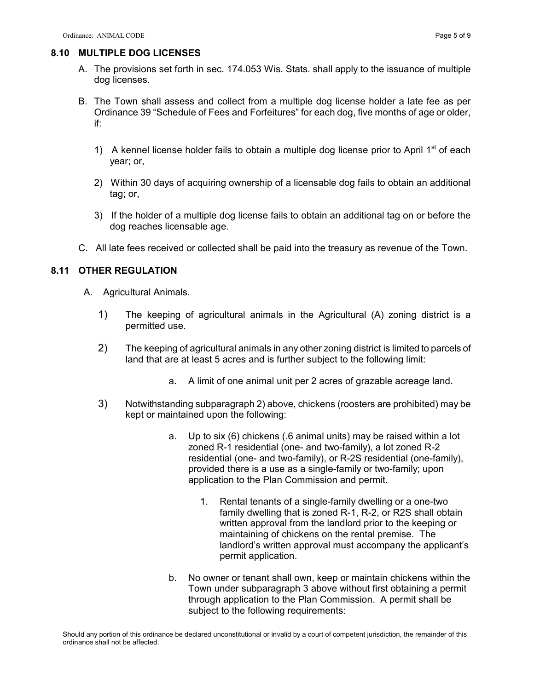### 8.10 MULTIPLE DOG LICENSES

- A. The provisions set forth in sec. 174.053 Wis. Stats. shall apply to the issuance of multiple dog licenses.
- B. The Town shall assess and collect from a multiple dog license holder a late fee as per Ordinance 39 "Schedule of Fees and Forfeitures" for each dog, five months of age or older, if:
	- 1) A kennel license holder fails to obtain a multiple dog license prior to April  $1<sup>st</sup>$  of each year; or,
	- 2) Within 30 days of acquiring ownership of a licensable dog fails to obtain an additional tag; or,
	- 3) If the holder of a multiple dog license fails to obtain an additional tag on or before the dog reaches licensable age.
- C. All late fees received or collected shall be paid into the treasury as revenue of the Town.

# 8.11 OTHER REGULATION

- A. Agricultural Animals.
	- 1) The keeping of agricultural animals in the Agricultural (A) zoning district is a permitted use.
	- 2) The keeping of agricultural animals in any other zoning district is limited to parcels of land that are at least 5 acres and is further subject to the following limit:
		- a. A limit of one animal unit per 2 acres of grazable acreage land.
	- 3) Notwithstanding subparagraph 2) above, chickens (roosters are prohibited) may be kept or maintained upon the following:
		- a. Up to six (6) chickens (.6 animal units) may be raised within a lot zoned R-1 residential (one- and two-family), a lot zoned R-2 residential (one- and two-family), or R-2S residential (one-family), provided there is a use as a single-family or two-family; upon application to the Plan Commission and permit.
			- 1. Rental tenants of a single-family dwelling or a one-two family dwelling that is zoned R-1, R-2, or R2S shall obtain written approval from the landlord prior to the keeping or maintaining of chickens on the rental premise. The landlord's written approval must accompany the applicant's permit application.
		- b. No owner or tenant shall own, keep or maintain chickens within the Town under subparagraph 3 above without first obtaining a permit through application to the Plan Commission. A permit shall be subject to the following requirements:

\_\_\_\_\_\_\_\_\_\_\_\_\_\_\_\_\_\_\_\_\_\_\_\_\_\_\_\_\_\_\_\_\_\_\_\_\_\_\_\_\_\_\_\_\_\_\_\_\_\_\_\_\_\_\_\_\_\_\_\_\_\_\_\_\_\_\_\_\_\_\_\_\_\_\_\_\_\_\_\_\_\_\_\_\_\_\_\_\_\_\_\_\_\_\_\_\_\_\_\_\_\_\_\_\_ Should any portion of this ordinance be declared unconstitutional or invalid by a court of competent jurisdiction, the remainder of this ordinance shall not be affected.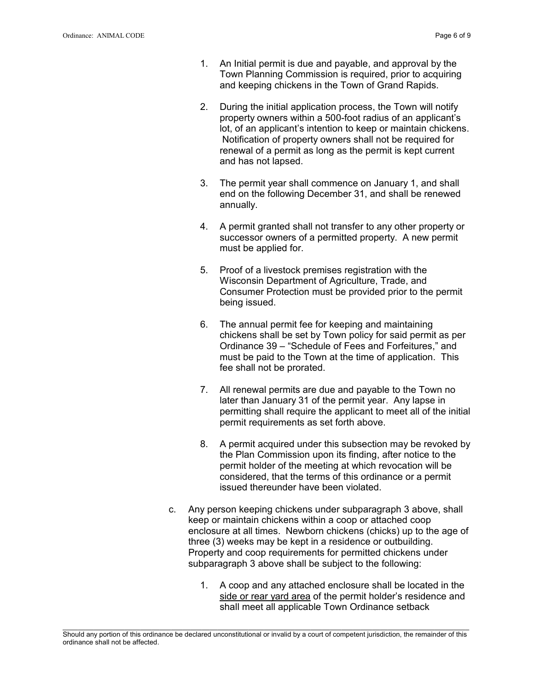- 1. An Initial permit is due and payable, and approval by the Town Planning Commission is required, prior to acquiring and keeping chickens in the Town of Grand Rapids.
- 2. During the initial application process, the Town will notify property owners within a 500-foot radius of an applicant's lot, of an applicant's intention to keep or maintain chickens. Notification of property owners shall not be required for renewal of a permit as long as the permit is kept current and has not lapsed.
- 3. The permit year shall commence on January 1, and shall end on the following December 31, and shall be renewed annually.
- 4. A permit granted shall not transfer to any other property or successor owners of a permitted property. A new permit must be applied for.
- 5. Proof of a livestock premises registration with the Wisconsin Department of Agriculture, Trade, and Consumer Protection must be provided prior to the permit being issued.
- 6. The annual permit fee for keeping and maintaining chickens shall be set by Town policy for said permit as per Ordinance 39 – "Schedule of Fees and Forfeitures," and must be paid to the Town at the time of application. This fee shall not be prorated.
- 7. All renewal permits are due and payable to the Town no later than January 31 of the permit year. Any lapse in permitting shall require the applicant to meet all of the initial permit requirements as set forth above.
- 8. A permit acquired under this subsection may be revoked by the Plan Commission upon its finding, after notice to the permit holder of the meeting at which revocation will be considered, that the terms of this ordinance or a permit issued thereunder have been violated.
- c. Any person keeping chickens under subparagraph 3 above, shall keep or maintain chickens within a coop or attached coop enclosure at all times. Newborn chickens (chicks) up to the age of three (3) weeks may be kept in a residence or outbuilding. Property and coop requirements for permitted chickens under subparagraph 3 above shall be subject to the following:
	- 1. A coop and any attached enclosure shall be located in the side or rear yard area of the permit holder's residence and shall meet all applicable Town Ordinance setback

\_\_\_\_\_\_\_\_\_\_\_\_\_\_\_\_\_\_\_\_\_\_\_\_\_\_\_\_\_\_\_\_\_\_\_\_\_\_\_\_\_\_\_\_\_\_\_\_\_\_\_\_\_\_\_\_\_\_\_\_\_\_\_\_\_\_\_\_\_\_\_\_\_\_\_\_\_\_\_\_\_\_\_\_\_\_\_\_\_\_\_\_\_\_\_\_\_\_\_\_\_\_\_\_\_ Should any portion of this ordinance be declared unconstitutional or invalid by a court of competent jurisdiction, the remainder of this ordinance shall not be affected.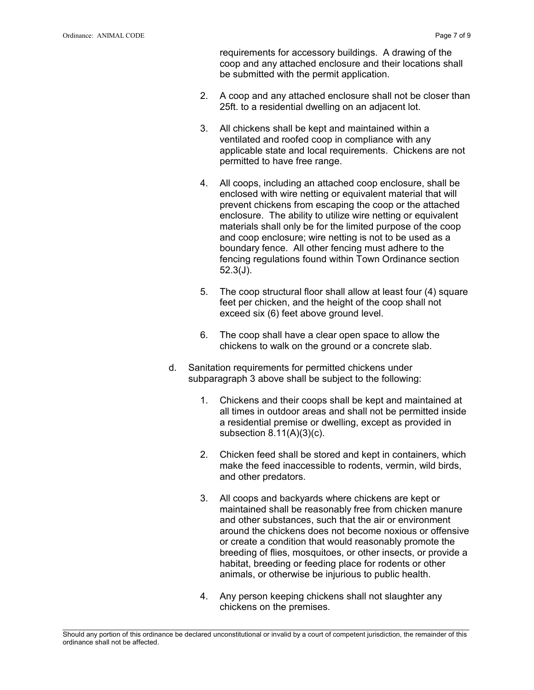requirements for accessory buildings. A drawing of the coop and any attached enclosure and their locations shall be submitted with the permit application.

- 2. A coop and any attached enclosure shall not be closer than 25ft. to a residential dwelling on an adjacent lot.
- 3. All chickens shall be kept and maintained within a ventilated and roofed coop in compliance with any applicable state and local requirements. Chickens are not permitted to have free range.
- 4. All coops, including an attached coop enclosure, shall be enclosed with wire netting or equivalent material that will prevent chickens from escaping the coop or the attached enclosure. The ability to utilize wire netting or equivalent materials shall only be for the limited purpose of the coop and coop enclosure; wire netting is not to be used as a boundary fence. All other fencing must adhere to the fencing regulations found within Town Ordinance section 52.3(J).
- 5. The coop structural floor shall allow at least four (4) square feet per chicken, and the height of the coop shall not exceed six (6) feet above ground level.
- 6. The coop shall have a clear open space to allow the chickens to walk on the ground or a concrete slab.
- d. Sanitation requirements for permitted chickens under subparagraph 3 above shall be subject to the following:
	- 1. Chickens and their coops shall be kept and maintained at all times in outdoor areas and shall not be permitted inside a residential premise or dwelling, except as provided in subsection 8.11(A)(3)(c).
	- 2. Chicken feed shall be stored and kept in containers, which make the feed inaccessible to rodents, vermin, wild birds, and other predators.
	- 3. All coops and backyards where chickens are kept or maintained shall be reasonably free from chicken manure and other substances, such that the air or environment around the chickens does not become noxious or offensive or create a condition that would reasonably promote the breeding of flies, mosquitoes, or other insects, or provide a habitat, breeding or feeding place for rodents or other animals, or otherwise be injurious to public health.
	- 4. Any person keeping chickens shall not slaughter any chickens on the premises.

\_\_\_\_\_\_\_\_\_\_\_\_\_\_\_\_\_\_\_\_\_\_\_\_\_\_\_\_\_\_\_\_\_\_\_\_\_\_\_\_\_\_\_\_\_\_\_\_\_\_\_\_\_\_\_\_\_\_\_\_\_\_\_\_\_\_\_\_\_\_\_\_\_\_\_\_\_\_\_\_\_\_\_\_\_\_\_\_\_\_\_\_\_\_\_\_\_\_\_\_\_\_\_\_\_ Should any portion of this ordinance be declared unconstitutional or invalid by a court of competent jurisdiction, the remainder of this ordinance shall not be affected.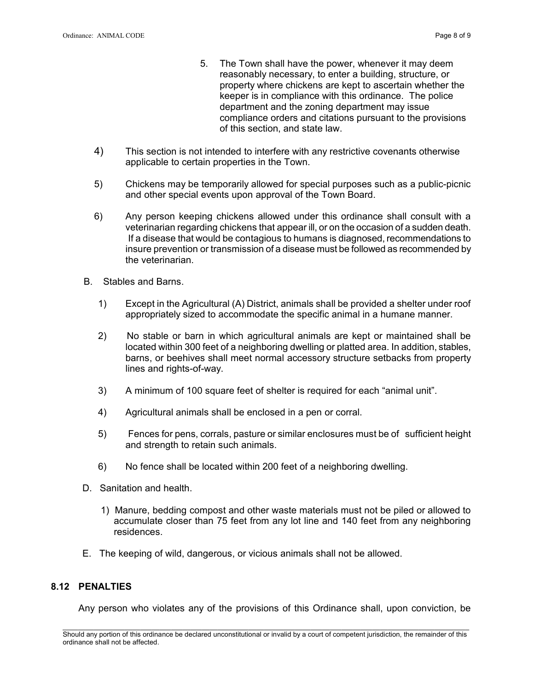- 5. The Town shall have the power, whenever it may deem reasonably necessary, to enter a building, structure, or property where chickens are kept to ascertain whether the keeper is in compliance with this ordinance. The police department and the zoning department may issue compliance orders and citations pursuant to the provisions of this section, and state law.
- 4) This section is not intended to interfere with any restrictive covenants otherwise applicable to certain properties in the Town.
- 5) Chickens may be temporarily allowed for special purposes such as a public-picnic and other special events upon approval of the Town Board.
- 6) Any person keeping chickens allowed under this ordinance shall consult with a veterinarian regarding chickens that appear ill, or on the occasion of a sudden death. If a disease that would be contagious to humans is diagnosed, recommendations to insure prevention or transmission of a disease must be followed as recommended by the veterinarian.
- B. Stables and Barns.
	- 1) Except in the Agricultural (A) District, animals shall be provided a shelter under roof appropriately sized to accommodate the specific animal in a humane manner.
	- 2) No stable or barn in which agricultural animals are kept or maintained shall be located within 300 feet of a neighboring dwelling or platted area. In addition, stables, barns, or beehives shall meet normal accessory structure setbacks from property lines and rights-of-way.
	- 3) A minimum of 100 square feet of shelter is required for each "animal unit".
	- 4) Agricultural animals shall be enclosed in a pen or corral.
	- 5) Fences for pens, corrals, pasture or similar enclosures must be of sufficient height and strength to retain such animals.
	- 6) No fence shall be located within 200 feet of a neighboring dwelling.
- D. Sanitation and health.
	- 1) Manure, bedding compost and other waste materials must not be piled or allowed to accumulate closer than 75 feet from any lot line and 140 feet from any neighboring residences.
- E. The keeping of wild, dangerous, or vicious animals shall not be allowed.

### 8.12 PENALTIES

Any person who violates any of the provisions of this Ordinance shall, upon conviction, be

\_\_\_\_\_\_\_\_\_\_\_\_\_\_\_\_\_\_\_\_\_\_\_\_\_\_\_\_\_\_\_\_\_\_\_\_\_\_\_\_\_\_\_\_\_\_\_\_\_\_\_\_\_\_\_\_\_\_\_\_\_\_\_\_\_\_\_\_\_\_\_\_\_\_\_\_\_\_\_\_\_\_\_\_\_\_\_\_\_\_\_\_\_\_\_\_\_\_\_\_\_\_\_\_\_ Should any portion of this ordinance be declared unconstitutional or invalid by a court of competent jurisdiction, the remainder of this ordinance shall not be affected.